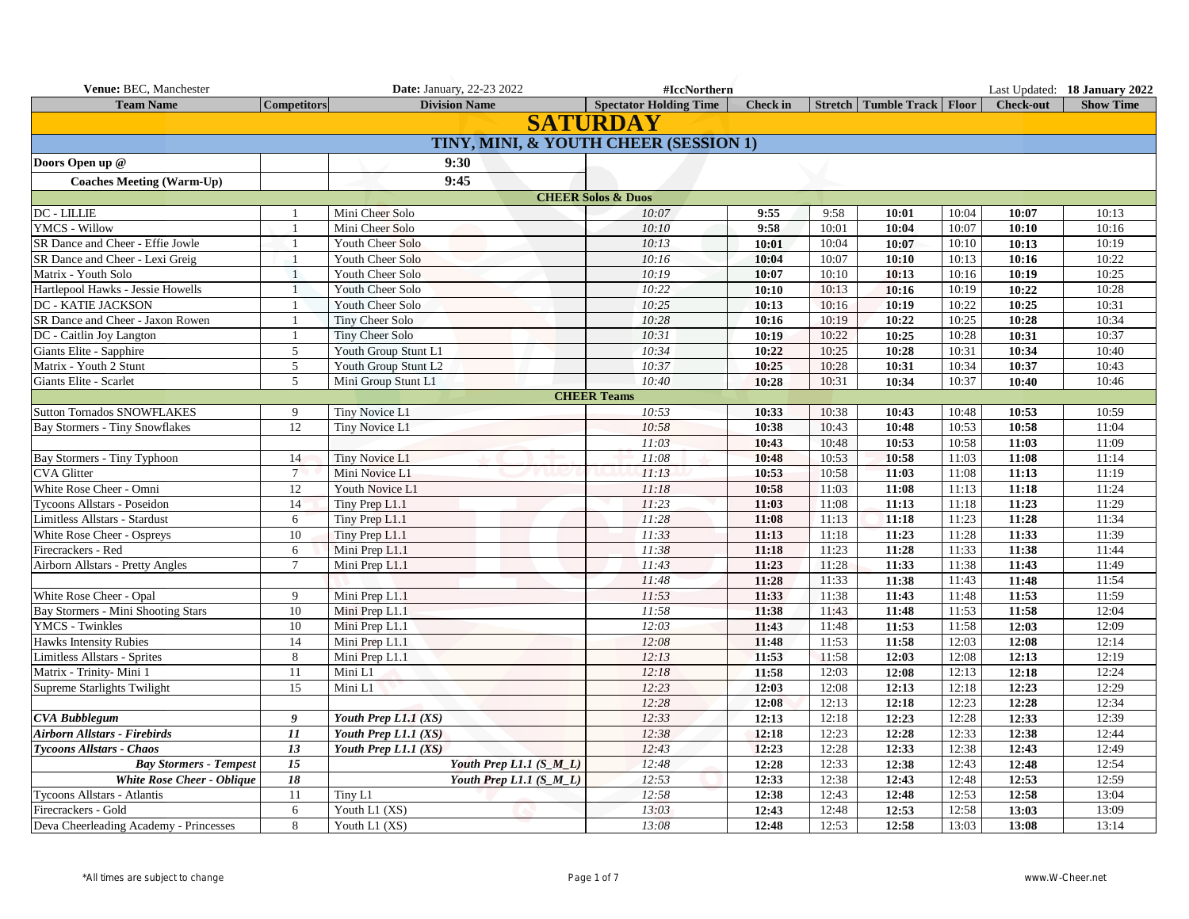| Venue: BEC, Manchester                 |                    | <b>Date: January, 22-23 2022</b>      | #IccNorthern                  |                 |       |                                |       |                  | Last Updated: 18 January 2022 |
|----------------------------------------|--------------------|---------------------------------------|-------------------------------|-----------------|-------|--------------------------------|-------|------------------|-------------------------------|
| <b>Team Name</b>                       | <b>Competitors</b> | <b>Division Name</b>                  | <b>Spectator Holding Time</b> | <b>Check</b> in |       | Stretch   Tumble Track   Floor |       | <b>Check-out</b> | <b>Show Time</b>              |
|                                        |                    |                                       | <b>SATURDAY</b>               |                 |       |                                |       |                  |                               |
|                                        |                    | TINY, MINI, & YOUTH CHEER (SESSION 1) |                               |                 |       |                                |       |                  |                               |
| Doors Open up @                        |                    | 9:30                                  |                               |                 |       |                                |       |                  |                               |
| <b>Coaches Meeting (Warm-Up)</b>       |                    | 9:45                                  |                               |                 |       |                                |       |                  |                               |
|                                        |                    |                                       | <b>CHEER Solos &amp; Duos</b> |                 |       |                                |       |                  |                               |
| DC - LILLIE                            |                    | Mini Cheer Solo                       | 10:07                         | 9:55            | 9:58  | 10:01                          | 10:04 | 10:07            | 10:13                         |
| <b>YMCS - Willow</b>                   | $\overline{1}$     | Mini Cheer Solo                       | 10:10                         | 9:58            | 10:01 | 10:04                          | 10:07 | 10:10            | 10:16                         |
| SR Dance and Cheer - Effie Jowle       |                    | Youth Cheer Solo                      | 10:13                         | 10:01           | 10:04 | 10:07                          | 10:10 | 10:13            | 10:19                         |
| SR Dance and Cheer - Lexi Greig        | $\mathbf{1}$       | Youth Cheer Solo                      | 10:16                         | 10:04           | 10:07 | 10:10                          | 10:13 | 10:16            | 10:22                         |
| Matrix - Youth Solo                    |                    | Youth Cheer Solo                      | 10:19                         | 10:07           | 10:10 | 10:13                          | 10:16 | 10:19            | 10:25                         |
| Hartlepool Hawks - Jessie Howells      |                    | Youth Cheer Solo                      | 10:22                         | 10:10           | 10:13 | 10:16                          | 10:19 | 10:22            | 10:28                         |
| <b>DC - KATIE JACKSON</b>              |                    | Youth Cheer Solo                      | 10:25                         | 10:13           | 10:16 | 10:19                          | 10:22 | 10:25            | 10:31                         |
| SR Dance and Cheer - Jaxon Rowen       | -1                 | Tiny Cheer Solo                       | 10:28                         | 10:16           | 10:19 | 10:22                          | 10:25 | 10:28            | 10:34                         |
| DC - Caitlin Joy Langton               | $\mathbf{1}$       | <b>Tiny Cheer Solo</b>                | 10:31                         | 10:19           | 10:22 | 10:25                          | 10:28 | 10:31            | 10:37                         |
| Giants Elite - Sapphire                | 5                  | Youth Group Stunt L1                  | 10:34                         | 10:22           | 10:25 | 10:28                          | 10:31 | 10:34            | 10:40                         |
| Matrix - Youth 2 Stunt                 | 5                  | Youth Group Stunt L2                  | 10:37                         | 10:25           | 10:28 | 10:31                          | 10:34 | 10:37            | 10:43                         |
| Giants Elite - Scarlet                 | 5                  | Mini Group Stunt L1                   | 10:40                         | 10:28           | 10:31 | 10:34                          | 10:37 | 10:40            | 10:46                         |
|                                        |                    |                                       | <b>CHEER Teams</b>            |                 |       |                                |       |                  |                               |
| <b>Sutton Tornados SNOWFLAKES</b>      | 9                  | Tiny Novice L1                        | 10:53                         | 10:33           | 10:38 | 10:43                          | 10:48 | 10:53            | 10:59                         |
| <b>Bay Stormers - Tiny Snowflakes</b>  | 12                 | Tiny Novice L1                        | 10:58                         | 10:38           | 10:43 | 10:48                          | 10:53 | 10:58            | 11:04                         |
|                                        |                    |                                       | 11:03                         | 10:43           | 10:48 | 10:53                          | 10:58 | 11:03            | 11:09                         |
| Bay Stormers - Tiny Typhoon            | 14                 | Tiny Novice L1                        | 11:08                         | 10:48           | 10:53 | 10:58                          | 11:03 | 11:08            | 11:14                         |
| <b>CVA Glitter</b>                     | $7\overline{ }$    | Mini Novice L1                        | 11:13                         | 10:53           | 10:58 | 11:03                          | 11:08 | 11:13            | 11:19                         |
| White Rose Cheer - Omni                | 12                 | Youth Novice L1                       | 11:18                         | 10:58           | 11:03 | 11:08                          | 11:13 | 11:18            | 11:24                         |
| Tycoons Allstars - Poseidon            | 14                 | Tiny Prep L1.1                        | 11:23                         | 11:03           | 11:08 | 11:13                          | 11:18 | 11:23            | 11:29                         |
| Limitless Allstars - Stardust          | 6                  | Tiny Prep L1.1                        | 11:28                         | 11:08           | 11:13 | 11:18                          | 11:23 | 11:28            | 11:34                         |
| White Rose Cheer - Ospreys             | 10                 | Tiny Prep L1.1                        | 11:33                         | 11:13           | 11:18 | 11:23                          | 11:28 | 11:33            | 11:39                         |
| Firecrackers - Red                     | 6                  | Mini Prep L1.1                        | 11:38                         | 11:18           | 11:23 | 11:28                          | 11:33 | 11:38            | 11:44                         |
| Airborn Allstars - Pretty Angles       | $\overline{7}$     | Mini Prep L1.1                        | 11:43                         | 11:23           | 11:28 | 11:33                          | 11:38 | 11:43            | 11:49                         |
|                                        |                    |                                       | 11:48                         | 11:28           | 11:33 | 11:38                          | 11:43 | 11:48            | 11:54                         |
| White Rose Cheer - Opal                | 9                  | Mini Prep L1.1                        | 11:53                         | 11:33           | 11:38 | 11:43                          | 11:48 | 11:53            | 11:59                         |
| Bay Stormers - Mini Shooting Stars     | 10                 | Mini Prep L1.1                        | 11:58                         | 11:38           | 11:43 | 11:48                          | 11:53 | 11:58            | 12:04                         |
| <b>YMCS</b> - Twinkles                 | 10                 | Mini Prep L1.1                        | 12:03                         | 11:43           | 11:48 | 11:53                          | 11:58 | 12:03            | 12:09                         |
| <b>Hawks Intensity Rubies</b>          | 14                 | Mini Prep L1.1                        | 12:08                         | 11:48           | 11:53 | 11:58                          | 12:03 | 12:08            | 12:14                         |
| Limitless Allstars - Sprites           | $\,8\,$            | Mini Prep L1.1                        | 12:13                         | 11:53           | 11:58 | 12:03                          | 12:08 | 12:13            | 12:19                         |
| Matrix - Trinity- Mini 1               | 11                 | Mini L1                               | 12:18                         | 11:58           | 12:03 | 12:08                          | 12:13 | 12:18            | 12:24                         |
| Supreme Starlights Twilight            | 15                 | Mini L1                               | 12:23                         | 12:03           | 12:08 | 12:13                          | 12:18 | 12:23            | 12:29                         |
|                                        |                    |                                       | 12:28                         | 12:08           | 12:13 | 12:18                          | 12:23 | 12:28            | 12:34                         |
| <b>CVA Bubblegum</b>                   | 9                  | Youth Prep $L1.1$ (XS)                | 12:33                         | 12:13           | 12:18 | 12:23                          | 12:28 | 12:33            | 12:39                         |
| <b>Airborn Allstars - Firebirds</b>    | 11                 | Youth Prep L1.1 (XS)                  | 12:38                         | 12:18           | 12:23 | 12:28                          | 12:33 | 12:38            | 12:44                         |
| <b>Tycoons Allstars - Chaos</b>        | 13                 | Youth Prep L1.1 (XS)                  | 12:43                         | 12:23           | 12:28 | 12:33                          | 12:38 | 12:43            | 12:49                         |
| <b>Bay Stormers - Tempest</b>          | 15                 | Youth Prep L1.1 (S_M_L)               | 12:48                         | 12:28           | 12:33 | 12:38                          | 12:43 | 12:48            | 12:54                         |
| White Rose Cheer - Oblique             | 18                 | Youth Prep L1.1 $(S_M_L)$             | 12:53                         | 12:33           | 12:38 | 12:43                          | 12:48 | 12:53            | 12:59                         |
| Tycoons Allstars - Atlantis            | 11                 | Tiny L1                               | 12:58                         | 12:38           | 12:43 | 12:48                          | 12:53 | 12:58            | 13:04                         |
| Firecrackers - Gold                    | 6                  | Youth L1 (XS)                         | 13:03                         | 12:43           | 12:48 | 12:53                          | 12:58 | 13:03            | 13:09                         |
| Deva Cheerleading Academy - Princesses | 8                  | Youth L1 (XS)                         | 13:08                         | 12:48           | 12:53 | 12:58                          | 13:03 | 13:08            | 13:14                         |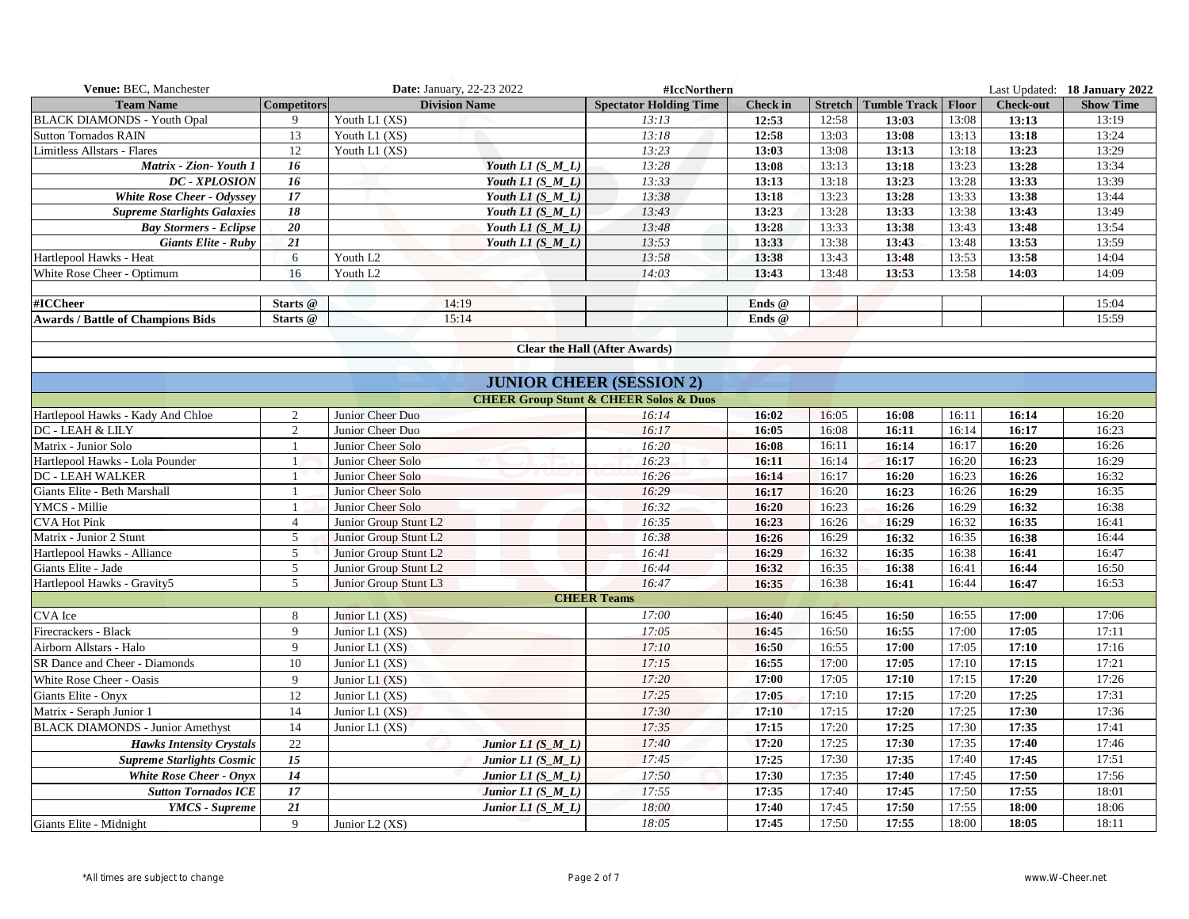| Venue: BEC, Manchester                              |                                | <b>Date: January, 22-23 2022</b>       |                        | #IccNorthern                                          |                 |                |                                       |                |                  | Last Updated: 18 January 2022 |
|-----------------------------------------------------|--------------------------------|----------------------------------------|------------------------|-------------------------------------------------------|-----------------|----------------|---------------------------------------|----------------|------------------|-------------------------------|
| <b>Team Name</b>                                    | <b>Competitors</b>             | <b>Division Name</b>                   |                        | <b>Spectator Holding Time</b>                         | <b>Check in</b> |                | <b>Stretch   Tumble Track   Floor</b> |                | <b>Check-out</b> | <b>Show Time</b>              |
| <b>BLACK DIAMONDS - Youth Opal</b>                  | 9                              | Youth L1 (XS)                          |                        | 13:13                                                 | 12:53           | 12:58          | 13:03                                 | 13:08          | 13:13            | 13:19                         |
| <b>Sutton Tornados RAIN</b>                         | 13                             | Youth L1 (XS)                          |                        | 13:18                                                 | 12:58           | 13:03          | 13:08                                 | 13:13          | 13:18            | 13:24                         |
| Limitless Allstars - Flares                         | 12                             | Youth L1 (XS)                          |                        | 13:23                                                 | 13:03           | 13:08          | 13:13                                 | 13:18          | 13:23            | 13:29                         |
| Matrix - Zion- Youth 1                              | 16                             |                                        | Youth $LI(S_ML)$       | 13:28                                                 | 13:08           | 13:13          | 13:18                                 | 13:23          | 13:28            | 13:34                         |
| <b>DC - XPLOSION</b>                                | 16                             |                                        | Youth $LI(S_ML)$       | 13:33                                                 | 13:13           | 13:18          | 13:23                                 | 13:28          | 13:33            | 13:39                         |
| <b>White Rose Cheer - Odyssey</b>                   | 17                             |                                        | Youth $LI(S_ML)$       | 13:38                                                 | 13:18           | 13:23          | 13:28                                 | 13:33          | 13:38            | 13:44                         |
| <b>Supreme Starlights Galaxies</b>                  | 18                             |                                        | Youth $LI(S_M_L)$      | 13:43                                                 | 13:23           | 13:28          | 13:33                                 | 13:38          | 13:43            | 13:49                         |
| <b>Bay Stormers - Eclipse</b>                       | 20                             |                                        | Youth $LI(S_M_L)$      | 13:48                                                 | 13:28           | 13:33          | 13:38                                 | 13:43          | 13:48            | 13:54                         |
| <b>Giants Elite - Ruby</b>                          | 21                             |                                        | Youth $LI(S_ML)$       | 13:53                                                 | 13:33           | 13:38          | 13:43                                 | 13:48          | 13:53            | 13:59                         |
| Hartlepool Hawks - Heat                             | 6                              | Youth L2                               |                        | 13:58                                                 | 13:38           | 13:43          | 13:48                                 | 13:53          | 13:58            | 14:04                         |
| White Rose Cheer - Optimum                          | 16                             | Youth L <sub>2</sub>                   |                        | 14:03                                                 | 13:43           | 13:48          | 13:53                                 | 13:58          | 14:03            | 14:09                         |
|                                                     |                                |                                        |                        |                                                       |                 |                |                                       |                |                  |                               |
| #ICCheer                                            | Starts @                       | 14:19                                  |                        |                                                       | Ends @          |                |                                       |                |                  | 15:04                         |
| <b>Awards / Battle of Champions Bids</b>            | Starts @                       | 15:14                                  |                        |                                                       | Ends @          |                |                                       |                |                  | 15:59                         |
|                                                     |                                |                                        |                        |                                                       |                 |                |                                       |                |                  |                               |
|                                                     |                                |                                        |                        | <b>Clear the Hall (After Awards)</b>                  |                 |                |                                       |                |                  |                               |
|                                                     |                                |                                        |                        |                                                       |                 |                |                                       |                |                  |                               |
|                                                     |                                |                                        |                        | <b>JUNIOR CHEER (SESSION 2)</b>                       |                 |                |                                       |                |                  |                               |
|                                                     |                                |                                        |                        | <b>CHEER Group Stunt &amp; CHEER Solos &amp; Duos</b> |                 |                |                                       |                |                  |                               |
| Hartlepool Hawks - Kady And Chloe                   | 2                              | Junior Cheer Duo                       |                        | 16:14                                                 | 16:02           | 16:05          | 16:08                                 | 16:11          | 16:14            | 16:20                         |
| DC - LEAH & LILY                                    | 2                              | Junior Cheer Duo                       |                        | 16:17                                                 | 16:05           | 16:08          | 16:11                                 | 16:14          | 16:17            | 16:23                         |
| Matrix - Junior Solo                                | $\mathbf{1}$<br>$\overline{1}$ | Junior Cheer Solo                      |                        | 16:20                                                 | 16:08           | 16:11          | 16:14                                 | 16:17          | 16:20            | 16:26                         |
| Hartlepool Hawks - Lola Pounder<br>DC - LEAH WALKER |                                | Junior Cheer Solo<br>Junior Cheer Solo |                        | 16:23<br>16:26                                        | 16:11<br>16:14  | 16:14<br>16:17 | 16:17<br>16:20                        | 16:20<br>16:23 | 16:23<br>16:26   | 16:29<br>16:32                |
| Giants Elite - Beth Marshall                        | $\overline{1}$                 | Junior Cheer Solo                      |                        | 16:29                                                 | 16:17           | 16:20          | 16:23                                 | 16:26          | 16:29            | 16:35                         |
| YMCS - Millie                                       |                                | Junior Cheer Solo                      |                        | 16:32                                                 | 16:20           | 16:23          | 16:26                                 | 16:29          | 16:32            | 16:38                         |
| <b>CVA Hot Pink</b>                                 | $\overline{4}$                 | Junior Group Stunt L2                  |                        | 16:35                                                 | 16:23           | 16:26          | 16:29                                 | 16:32          | 16:35            | 16:41                         |
| Matrix - Junior 2 Stunt                             | 5                              | Junior Group Stunt L2                  |                        | 16:38                                                 | 16:26           | 16:29          | 16:32                                 | 16:35          | 16:38            | 16:44                         |
| Hartlepool Hawks - Alliance                         | 5                              | Junior Group Stunt L2                  |                        | 16:41                                                 | 16:29           | 16:32          | 16:35                                 | 16:38          | 16:41            | 16:47                         |
| Giants Elite - Jade                                 | $\sqrt{5}$                     | Junior Group Stunt L2                  |                        | 16:44                                                 | 16:32           | 16:35          | 16:38                                 | 16:41          | 16:44            | 16:50                         |
| Hartlepool Hawks - Gravity5                         | 5                              | Junior Group Stunt L3                  |                        | 16:47                                                 | 16:35           | 16:38          | 16:41                                 | 16:44          | 16:47            | 16:53                         |
|                                                     |                                |                                        |                        | <b>CHEER Teams</b>                                    |                 |                |                                       |                |                  |                               |
| <b>CVA</b> Ice                                      | 8                              | Junior L1 (XS)                         |                        | 17:00                                                 | 16:40           | 16:45          | 16:50                                 | 16:55          | 17:00            | 17:06                         |
| Firecrackers - Black                                | $\mathbf{Q}$                   | Junior L1 (XS)                         |                        | 17:05                                                 | 16:45           | 16:50          | 16:55                                 | 17:00          | 17:05            | 17:11                         |
| Airborn Allstars - Halo                             | $\mathbf{Q}$                   | Junior L1 (XS)                         |                        | 17:10                                                 | 16:50           | 16:55          | 17:00                                 | 17:05          | 17:10            | 17:16                         |
| SR Dance and Cheer - Diamonds                       | 10                             | Junior L1 (XS)                         |                        | 17:15                                                 | 16:55           | 17:00          | 17:05                                 | 17:10          | 17:15            | 17:21                         |
| White Rose Cheer - Oasis                            | 9                              | Junior L1 $(XS)$                       |                        | 17:20                                                 | 17:00           | 17:05          | 17:10                                 | 17:15          | 17:20            | 17:26                         |
| Giants Elite - Onyx                                 | 12                             | Junior L1 (XS)                         |                        | 17:25                                                 | 17:05           | 17:10          | 17:15                                 | 17:20          | 17:25            | 17:31                         |
| Matrix - Seraph Junior 1                            | 14                             | Junior L1 (XS)                         |                        | 17:30                                                 | 17:10           | 17:15          | 17:20                                 | 17:25          | 17:30            | 17:36                         |
| <b>BLACK DIAMONDS - Junior Amethyst</b>             | 14                             | Junior L1 (XS)                         |                        | 17:35                                                 | 17:15           | 17:20          | 17:25                                 | 17:30          | 17:35            | 17:41                         |
| <b>Hawks Intensity Crystals</b>                     | 22                             |                                        | Junior $LI(S_ML)$      | 17:40                                                 | 17:20           | 17:25          | 17:30                                 | 17:35          | 17:40            | 17:46                         |
| <b>Supreme Starlights Cosmic</b>                    | $15\,$                         |                                        | Junior $LI(S \ M \ L)$ | 17:45                                                 | 17:25           | 17:30          | 17:35                                 | 17:40          | 17:45            | 17:51                         |
| <b>White Rose Cheer - Onyx</b>                      | 14                             |                                        | Junior $LI(S_ML)$      | 17:50                                                 | 17:30           | 17:35          | 17:40                                 | 17:45          | 17:50            | 17:56                         |
| <b>Sutton Tornados ICE</b>                          | 17                             |                                        | Junior $LI(SML)$       | 17:55                                                 | 17:35           | 17:40          | 17:45                                 | 17:50          | 17:55            | 18:01                         |
| <b>YMCS</b> - Supreme                               | 21                             |                                        | Junior L1 (S_M_L)      | 18:00                                                 | 17:40           | 17:45          | 17:50                                 | 17:55          | 18:00            | 18:06                         |
| Giants Elite - Midnight                             | $\mathbf{Q}$                   | Junior L2 (XS)                         |                        | 18:05                                                 | 17:45           | 17:50          | 17:55                                 | 18:00          | 18:05            | 18:11                         |
|                                                     |                                |                                        |                        |                                                       |                 |                |                                       |                |                  |                               |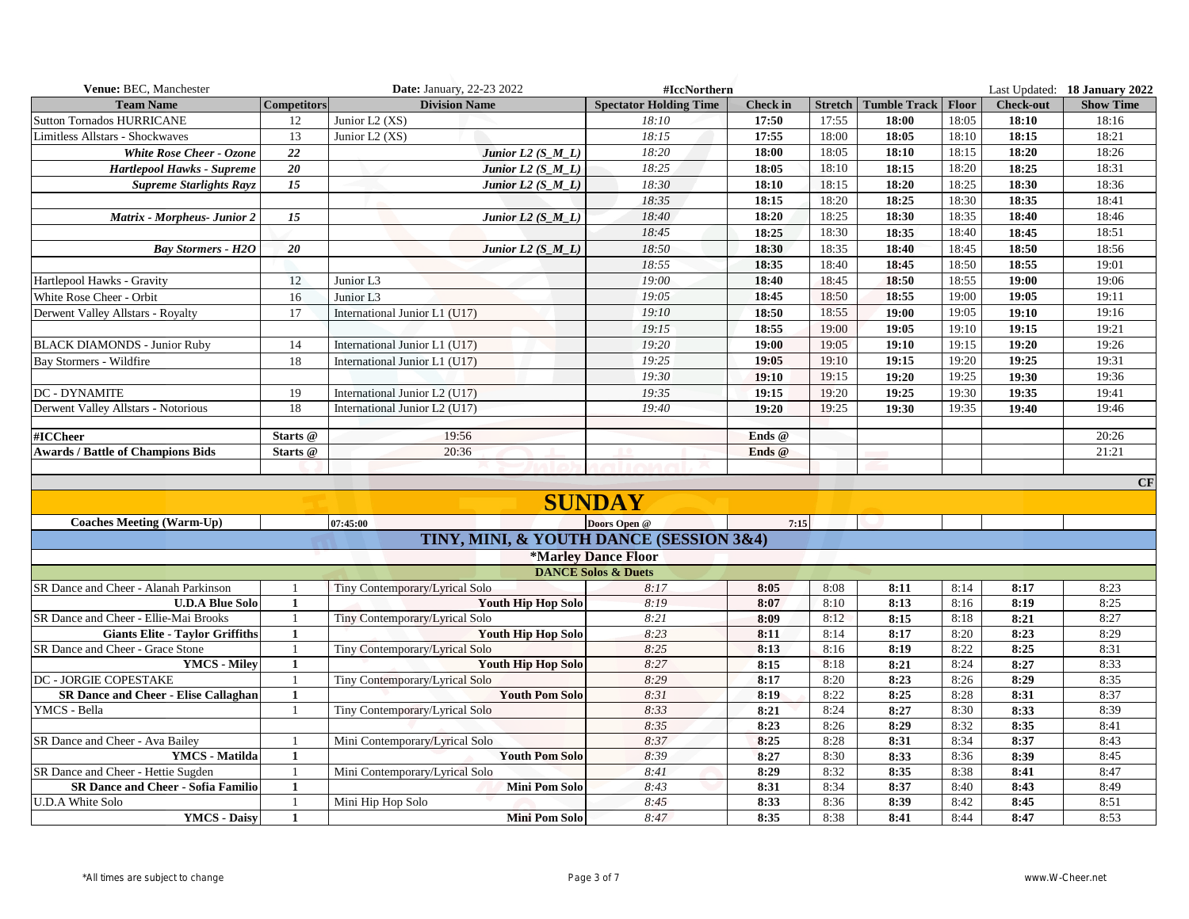| Venue: BEC, Manchester                      |                    | Date: January, 22-23 2022               | #IccNorthern                   |                 |       |                                       |       |                  | Last Updated: 18 January 2022 |
|---------------------------------------------|--------------------|-----------------------------------------|--------------------------------|-----------------|-------|---------------------------------------|-------|------------------|-------------------------------|
| <b>Team Name</b>                            | <b>Competitors</b> | <b>Division Name</b>                    | <b>Spectator Holding Time</b>  | <b>Check</b> in |       | <b>Stretch   Tumble Track   Floor</b> |       | <b>Check-out</b> | <b>Show Time</b>              |
| <b>Sutton Tornados HURRICANE</b>            | 12                 | Junior L2 (XS)                          | 18:10                          | 17:50           | 17:55 | 18:00                                 | 18:05 | 18:10            | 18:16                         |
| Limitless Allstars - Shockwaves             | 13                 | Junior L2 (XS)                          | 18:15                          | 17:55           | 18:00 | 18:05                                 | 18:10 | 18:15            | 18:21                         |
| <b>White Rose Cheer - Ozone</b>             | 22                 | Junior $L2(S_M L)$                      | 18:20                          | 18:00           | 18:05 | 18:10                                 | 18:15 | 18:20            | 18:26                         |
| Hartlepool Hawks - Supreme                  | $\overline{20}$    | Junior $L2(S_M L)$                      | 18:25                          | 18:05           | 18:10 | 18:15                                 | 18:20 | 18:25            | 18:31                         |
| <b>Supreme Starlights Rayz</b>              | $\overline{15}$    | Junior $L2(S_ML)$                       | 18:30                          | 18:10           | 18:15 | 18:20                                 | 18:25 | 18:30            | 18:36                         |
|                                             |                    |                                         | 18:35                          | 18:15           | 18:20 | 18:25                                 | 18:30 | 18:35            | 18:41                         |
| Matrix - Morpheus- Junior 2                 | 15                 | Junior $L2(S_\text{M} L)$               | 18:40                          | 18:20           | 18:25 | 18:30                                 | 18:35 | 18:40            | 18:46                         |
|                                             |                    |                                         | 18:45                          | 18:25           | 18:30 | 18:35                                 | 18:40 | 18:45            | 18:51                         |
| <b>Bay Stormers - H2O</b>                   | 20                 | Junior L <sub>2</sub> $(S_M_L)$         | 18:50                          | 18:30           | 18:35 | 18:40                                 | 18:45 | 18:50            | 18:56                         |
|                                             |                    |                                         | 18:55                          | 18:35           | 18:40 | 18:45                                 | 18:50 | 18:55            | 19:01                         |
| Hartlepool Hawks - Gravity                  | 12                 | Junior L3                               | 19:00                          | 18:40           | 18:45 | 18:50                                 | 18:55 | 19:00            | 19:06                         |
| White Rose Cheer - Orbit                    | 16                 | Junior L3                               | 19:05                          | 18:45           | 18:50 | 18:55                                 | 19:00 | 19:05            | 19:11                         |
| Derwent Valley Allstars - Royalty           | 17                 | International Junior L1 (U17)           | 19:10                          | 18:50           | 18:55 | 19:00                                 | 19:05 | 19:10            | 19:16                         |
|                                             |                    |                                         | 19:15                          | 18:55           | 19:00 | 19:05                                 | 19:10 | 19:15            | 19:21                         |
| <b>BLACK DIAMONDS - Junior Ruby</b>         | 14                 | International Junior L1 (U17)           | 19:20                          | 19:00           | 19:05 | 19:10                                 | 19:15 | 19:20            | 19:26                         |
| Bay Stormers - Wildfire                     | 18                 | International Junior L1 (U17)           | 19:25                          | 19:05           | 19:10 | 19:15                                 | 19:20 | 19:25            | 19:31                         |
|                                             |                    |                                         | 19:30                          | 19:10           | 19:15 | 19:20                                 | 19:25 | 19:30            | 19:36                         |
| <b>DC - DYNAMITE</b>                        | 19                 | International Junior L2 (U17)           | 19:35                          | 19:15           | 19:20 | 19:25                                 | 19:30 | 19:35            | 19:41                         |
| Derwent Valley Allstars - Notorious         | 18                 | International Junior L2 (U17)           | 19:40                          | 19:20           | 19:25 | 19:30                                 | 19:35 | 19:40            | 19:46                         |
|                                             |                    |                                         |                                |                 |       |                                       |       |                  |                               |
| #ICCheer                                    | Starts @           | 19:56                                   |                                | Ends @          |       |                                       |       |                  | 20:26                         |
| <b>Awards / Battle of Champions Bids</b>    | Starts @           | 20:36                                   |                                | Ends @          |       |                                       |       |                  | 21:21                         |
|                                             |                    |                                         |                                |                 |       |                                       |       |                  |                               |
|                                             |                    |                                         |                                |                 |       |                                       |       |                  | CF                            |
|                                             |                    |                                         | <b>SUNDAY</b>                  |                 |       |                                       |       |                  |                               |
| <b>Coaches Meeting (Warm-Up)</b>            |                    | 07:45:00                                | Doors Open @                   | 7:15            |       |                                       |       |                  |                               |
|                                             |                    | TINY, MINI, & YOUTH DANCE (SESSION 3&4) |                                |                 |       |                                       |       |                  |                               |
|                                             |                    |                                         | <b>*Marley Dance Floor</b>     |                 |       |                                       |       |                  |                               |
|                                             |                    |                                         | <b>DANCE Solos &amp; Duets</b> |                 |       |                                       |       |                  |                               |
| SR Dance and Cheer - Alanah Parkinson       |                    | Tiny Contemporary/Lyrical Solo          | 8:17                           | 8:05            | 8:08  | 8:11                                  | 8:14  | 8:17             | 8:23                          |
| <b>U.D.A Blue Solo</b>                      | $\mathbf{1}$       | <b>Youth Hip Hop Solo</b>               | 8:19                           | 8:07            | 8:10  | 8:13                                  | 8:16  | 8:19             | 8:25                          |
| SR Dance and Cheer - Ellie-Mai Brooks       | -1                 | Tiny Contemporary/Lyrical Solo          | 8:21                           | 8:09            | 8:12  | 8:15                                  | 8:18  | 8:21             | 8:27                          |
| <b>Giants Elite - Taylor Griffiths</b>      | $\mathbf{1}$       | <b>Youth Hip Hop Solo</b>               | 8:23                           | 8:11            | 8:14  | 8:17                                  | 8:20  | 8:23             | 8:29                          |
| SR Dance and Cheer - Grace Stone            | -1                 | Tiny Contemporary/Lyrical Solo          | 8:25                           | 8:13            | 8:16  | 8:19                                  | 8:22  | 8:25             | 8:31                          |
| <b>YMCS</b> - Miley                         | $\mathbf{1}$       | <b>Youth Hip Hop Solo</b>               | 8:27                           | 8:15            | 8:18  | 8:21                                  | 8:24  | 8:27             | 8:33                          |
| <b>DC - JORGIE COPESTAKE</b>                | $\overline{1}$     | Tiny Contemporary/Lyrical Solo          | 8:29                           | 8:17            | 8:20  | 8:23                                  | 8:26  | 8:29             | 8:35                          |
| <b>SR Dance and Cheer - Elise Callaghan</b> | $\mathbf{1}$       | <b>Youth Pom Solo</b>                   | 8:31                           | 8:19            | 8:22  | 8:25                                  | 8:28  | 8:31             | 8:37                          |
| YMCS - Bella                                | $\overline{1}$     | Tiny Contemporary/Lyrical Solo          | 8:33                           | 8:21            | 8:24  | 8:27                                  | 8:30  | 8:33             | 8:39                          |
|                                             |                    |                                         | 8:35                           | 8:23            | 8:26  | 8:29                                  | 8:32  | 8:35             | 8:41                          |
| SR Dance and Cheer - Ava Bailey             | -1                 | Mini Contemporary/Lyrical Solo          | 8:37                           | 8:25            | 8:28  | 8:31                                  | 8:34  | 8:37             | 8:43                          |
| YMCS - Matilda                              | $\mathbf{1}$       | <b>Youth Pom Solo</b>                   | 8:39                           | 8:27            | 8:30  | 8:33                                  | 8:36  | 8:39             | 8:45                          |
| SR Dance and Cheer - Hettie Sugden          | $\overline{1}$     | Mini Contemporary/Lyrical Solo          | 8:41                           | 8:29            | 8:32  | 8:35                                  | 8:38  | 8:41             | 8:47                          |
| <b>SR Dance and Cheer - Sofia Familio</b>   | 1                  | <b>Mini Pom Solo</b>                    | 8:43                           | 8:31            | 8:34  | 8:37                                  | 8:40  | 8:43             | 8:49                          |
| <b>U.D.A White Solo</b>                     |                    | Mini Hip Hop Solo                       | 8:45                           | 8:33            | 8:36  | 8:39                                  | 8:42  | 8:45             | 8:51                          |
| <b>YMCS</b> - Daisy                         | 1                  | <b>Mini Pom Solo</b>                    | 8:47                           | 8:35            | 8:38  | 8:41                                  | 8:44  | 8:47             | 8:53                          |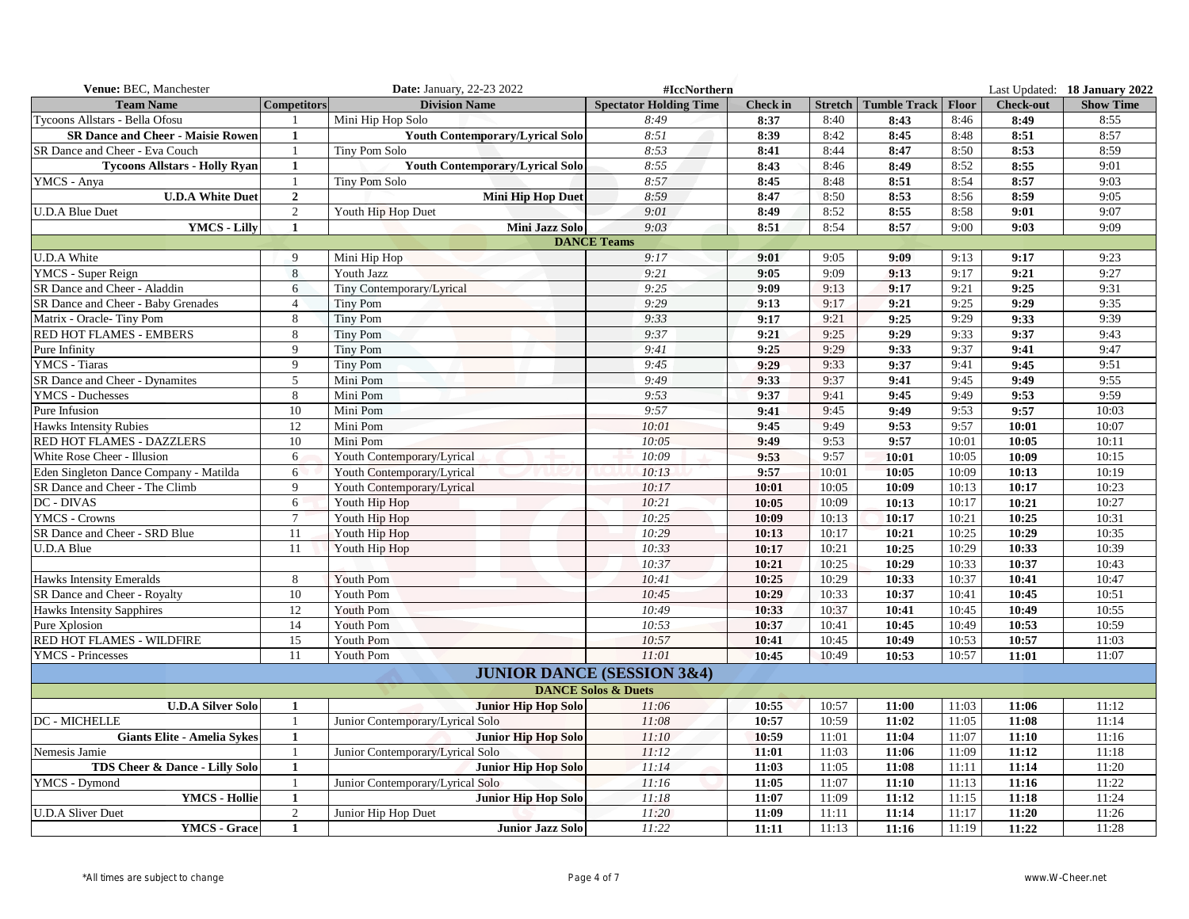| Venue: BEC, Manchester                   |                    | <b>Date: January, 22-23 2022</b>       | #IccNorthern                          |                 |       |                                |       |                  | Last Updated: 18 January 2022 |
|------------------------------------------|--------------------|----------------------------------------|---------------------------------------|-----------------|-------|--------------------------------|-------|------------------|-------------------------------|
| <b>Team Name</b>                         | <b>Competitors</b> | <b>Division Name</b>                   | <b>Spectator Holding Time</b>         | <b>Check</b> in |       | Stretch   Tumble Track   Floor |       | <b>Check-out</b> | <b>Show Time</b>              |
| Tycoons Allstars - Bella Ofosu           |                    | Mini Hip Hop Solo                      | 8:49                                  | 8:37            | 8:40  | 8:43                           | 8:46  | 8:49             | 8:55                          |
| <b>SR Dance and Cheer - Maisie Rowen</b> | 1                  | <b>Youth Contemporary/Lyrical Solo</b> | 8:51                                  | 8:39            | 8:42  | 8:45                           | 8:48  | 8:51             | 8:57                          |
| SR Dance and Cheer - Eva Couch           | 1                  | Tiny Pom Solo                          | 8:53                                  | 8:41            | 8:44  | 8:47                           | 8:50  | 8:53             | 8:59                          |
| <b>Tycoons Allstars - Holly Ryan</b>     | $\mathbf{1}$       | <b>Youth Contemporary/Lyrical Solo</b> | 8:55                                  | 8:43            | 8:46  | 8:49                           | 8:52  | 8:55             | 9:01                          |
| YMCS - Anya                              |                    | Tiny Pom Solo                          | 8:57                                  | 8:45            | 8:48  | 8:51                           | 8:54  | 8:57             | 9:03                          |
| <b>U.D.A White Duet</b>                  | $\overline{2}$     | <b>Mini Hip Hop Duet</b>               | 8:59                                  | 8:47            | 8:50  | 8:53                           | 8:56  | 8:59             | 9:05                          |
| <b>U.D.A Blue Duet</b>                   | 2                  | Youth Hip Hop Duet                     | 9:01                                  | 8:49            | 8:52  | 8:55                           | 8:58  | 9:01             | 9:07                          |
| <b>YMCS - Lilly</b>                      | $\mathbf{1}$       | Mini Jazz Solo                         | 9:03                                  | 8:51            | 8:54  | 8:57                           | 9:00  | 9:03             | 9:09                          |
|                                          |                    |                                        | <b>DANCE Teams</b>                    |                 |       |                                |       |                  |                               |
| <b>U.D.A White</b>                       | 9                  | Mini Hip Hop                           | 9:17                                  | 9:01            | 9:05  | 9:09                           | 9:13  | 9:17             | 9:23                          |
| YMCS - Super Reign                       | 8                  | Youth Jazz                             | 9:21                                  | 9:05            | 9:09  | 9:13                           | 9:17  | 9:21             | 9:27                          |
| SR Dance and Cheer - Aladdin             | 6                  | Tiny Contemporary/Lyrical              | 9:25                                  | 9:09            | 9:13  | 9:17                           | 9:21  | 9:25             | 9:31                          |
| SR Dance and Cheer - Baby Grenades       | $\overline{4}$     | <b>Tiny Pom</b>                        | 9:29                                  | 9:13            | 9:17  | 9:21                           | 9:25  | 9:29             | 9:35                          |
| Matrix - Oracle-Tiny Pom                 | 8                  | <b>Tiny Pom</b>                        | 9:33                                  | 9:17            | 9:21  | 9:25                           | 9:29  | 9:33             | 9:39                          |
| RED HOT FLAMES - EMBERS                  | 8                  | <b>Tiny Pom</b>                        | 9:37                                  | 9:21            | 9:25  | 9:29                           | 9:33  | 9:37             | 9:43                          |
| Pure Infinity                            | $\mathbf{Q}$       | <b>Tiny Pom</b>                        | 9:41                                  | 9:25            | 9:29  | 9:33                           | 9:37  | 9:41             | 9:47                          |
| YMCS - Tiaras                            | 9                  | <b>Tiny Pom</b>                        | 9:45                                  | 9:29            | 9:33  | 9:37                           | 9:41  | 9:45             | 9:51                          |
| SR Dance and Cheer - Dynamites           | 5                  | Mini Pom                               | 9:49                                  | 9:33            | 9:37  | 9:41                           | 9:45  | 9:49             | 9:55                          |
| <b>YMCS</b> - Duchesses                  | 8                  | Mini Pom                               | 9:53                                  | 9:37            | 9:41  | 9:45                           | 9:49  | 9:53             | 9:59                          |
| Pure Infusion                            | 10                 | Mini Pom                               | 9:57                                  | 9:41            | 9:45  | 9:49                           | 9:53  | 9:57             | 10:03                         |
| <b>Hawks Intensity Rubies</b>            | 12                 | Mini Pom                               | 10:01                                 | 9:45            | 9:49  | 9:53                           | 9:57  | 10:01            | 10:07                         |
| RED HOT FLAMES - DAZZLERS                | 10                 | Mini Pom                               | 10:05                                 | 9:49            | 9:53  | 9:57                           | 10:01 | 10:05            | 10:11                         |
| White Rose Cheer - Illusion              | 6                  | Youth Contemporary/Lyrical             | 10:09                                 | 9:53            | 9:57  | 10:01                          | 10:05 | 10:09            | 10:15                         |
| Eden Singleton Dance Company - Matilda   | 6                  | Youth Contemporary/Lyrical             | 10:13                                 | 9:57            | 10:01 | 10:05                          | 10:09 | 10:13            | 10:19                         |
| SR Dance and Cheer - The Climb           | 9                  | Youth Contemporary/Lyrical             | 10:17                                 | 10:01           | 10:05 | 10:09                          | 10:13 | 10:17            | 10:23                         |
| <b>DC - DIVAS</b>                        | 6                  | Youth Hip Hop                          | 10:21                                 | 10:05           | 10:09 | 10:13                          | 10:17 | 10:21            | 10:27                         |
| <b>YMCS - Crowns</b>                     | $\tau$             | Youth Hip Hop                          | 10:25                                 | 10:09           | 10:13 | 10:17                          | 10:21 | 10:25            | 10:31                         |
| SR Dance and Cheer - SRD Blue            | 11                 | Youth Hip Hop                          | 10:29                                 | 10:13           | 10:17 | 10:21                          | 10:25 | 10:29            | 10:35                         |
| <b>U.D.A Blue</b>                        | 11                 | Youth Hip Hop                          | 10:33                                 | 10:17           | 10:21 | 10:25                          | 10:29 | 10:33            | 10:39                         |
|                                          |                    |                                        | 10:37                                 | 10:21           | 10:25 | 10:29                          | 10:33 | 10:37            | 10:43                         |
| Hawks Intensity Emeralds                 | 8                  | Youth Pom                              | 10:41                                 | 10:25           | 10:29 | 10:33                          | 10:37 | 10:41            | 10:47                         |
| SR Dance and Cheer - Royalty             | 10                 | Youth Pom                              | 10:45                                 | 10:29           | 10:33 | 10:37                          | 10:41 | 10:45            | 10:51                         |
| <b>Hawks Intensity Sapphires</b>         | 12                 | Youth Pom                              | 10:49                                 | 10:33           | 10:37 | 10:41                          | 10:45 | 10:49            | 10:55                         |
| Pure Xplosion                            | 14                 | Youth Pom                              | 10:53                                 | 10:37           | 10:41 | 10:45                          | 10:49 | 10:53            | 10:59                         |
| RED HOT FLAMES - WILDFIRE                | 15                 | Youth Pom                              | 10:57                                 | 10:41           | 10:45 | 10:49                          | 10:53 | 10:57            | 11:03                         |
| <b>YMCS</b> - Princesses                 | 11                 | Youth Pom                              | 11:01                                 | 10:45           | 10:49 | 10:53                          | 10:57 | 11:01            | 11:07                         |
|                                          |                    |                                        | <b>JUNIOR DANCE (SESSION 3&amp;4)</b> |                 |       |                                |       |                  |                               |
|                                          |                    |                                        | <b>DANCE Solos &amp; Duets</b>        |                 |       |                                |       |                  |                               |
| <b>U.D.A Silver Solo</b>                 | 1                  | <b>Junior Hip Hop Solo</b>             | 11:06                                 | 10:55           | 10:57 | 11:00                          | 11:03 | 11:06            | 11:12                         |
| DC - MICHELLE                            | $\overline{1}$     | Junior Contemporary/Lyrical Solo       | 11:08                                 | 10:57           | 10:59 | 11:02                          | 11:05 | 11:08            | 11:14                         |
| <b>Giants Elite - Amelia Sykes</b>       | 1                  | <b>Junior Hip Hop Solo</b>             | 11:10                                 | 10:59           | 11:01 | 11:04                          | 11:07 | 11:10            | 11:16                         |
| Nemesis Jamie                            |                    | Junior Contemporary/Lyrical Solo       | 11:12                                 | 11:01           | 11:03 | 11:06                          | 11:09 | 11:12            | 11:18                         |
| TDS Cheer & Dance - Lilly Solo           | 1                  | <b>Junior Hip Hop Solo</b>             | 11:14                                 | 11:03           | 11:05 | 11:08                          | 11:11 | 11:14            | 11:20                         |
| YMCS - Dymond                            |                    | Junior Contemporary/Lyrical Solo       | 11:16                                 | 11:05           | 11:07 | 11:10                          | 11:13 | 11:16            | 11:22                         |
| <b>YMCS - Hollie</b>                     | 1                  | <b>Junior Hip Hop Solo</b>             | 11:18                                 | 11:07           | 11:09 | 11:12                          | 11:15 | 11:18            | 11:24                         |
| <b>U.D.A Sliver Duet</b>                 | 2                  | Junior Hip Hop Duet                    | 11:20                                 | 11:09           | 11:11 | 11:14                          | 11:17 | 11:20            | 11:26                         |
| YMCS - Grace                             | 1                  | <b>Junior Jazz Solo</b>                | 11:22                                 | 11:11           | 11:13 | 11:16                          | 11:19 | 11:22            | 11:28                         |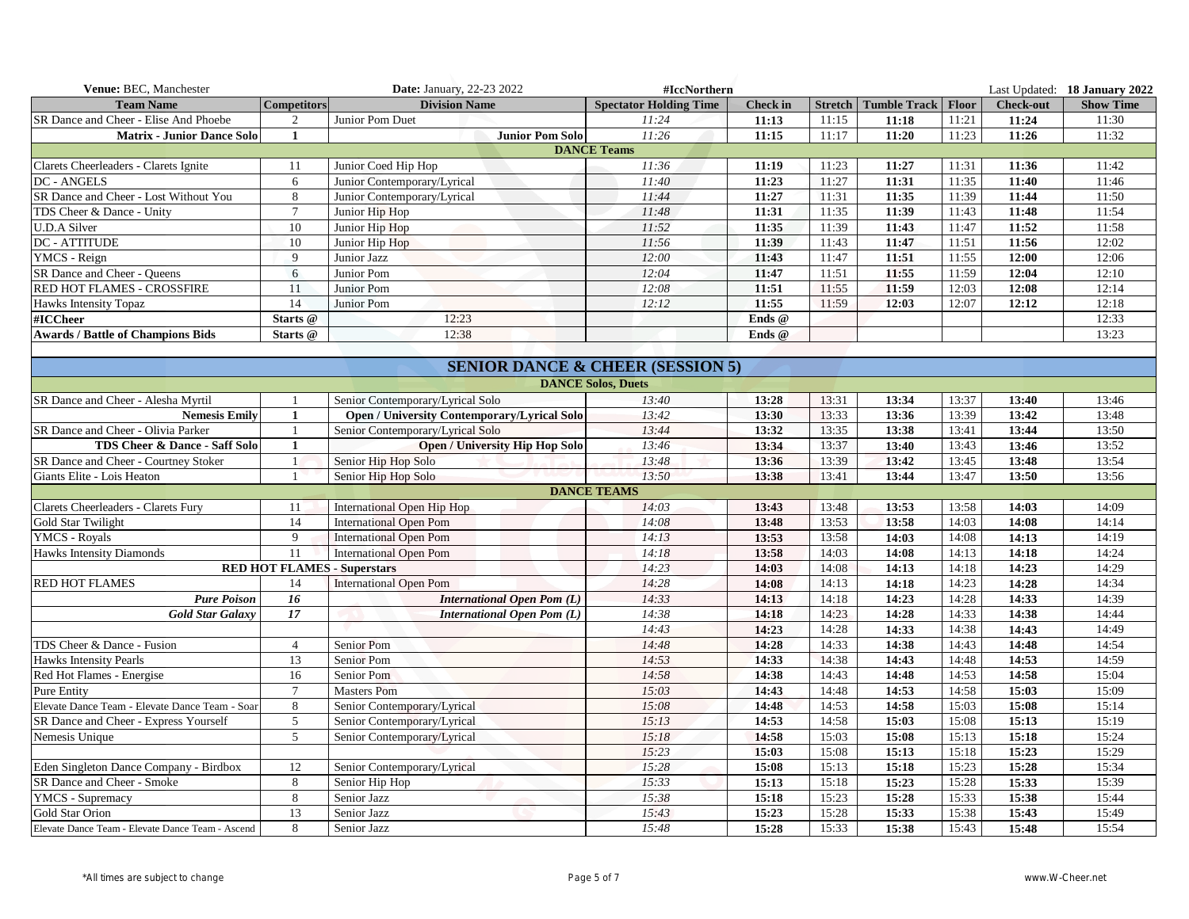| Venue: BEC, Manchester                           |                    | Date: January, 22-23 2022                          | #IccNorthern                                |                 |       |                                |       |                  | Last Updated: 18 January 2022 |
|--------------------------------------------------|--------------------|----------------------------------------------------|---------------------------------------------|-----------------|-------|--------------------------------|-------|------------------|-------------------------------|
| <b>Team Name</b>                                 | <b>Competitors</b> | <b>Division Name</b>                               | <b>Spectator Holding Time</b>               | <b>Check in</b> |       | Stretch   Tumble Track   Floor |       | <b>Check-out</b> | <b>Show Time</b>              |
| SR Dance and Cheer - Elise And Phoebe            | 2                  | Junior Pom Duet                                    | 11:24                                       | 11:13           | 11:15 | 11:18                          | 11:21 | 11:24            | 11:30                         |
| <b>Matrix - Junior Dance Solo</b>                | $\mathbf{1}$       | <b>Junior Pom Solo</b>                             | 11:26                                       | 11:15           | 11:17 | 11:20                          | 11:23 | 11:26            | 11:32                         |
|                                                  |                    |                                                    | <b>DANCE Teams</b>                          |                 |       |                                |       |                  |                               |
| Clarets Cheerleaders - Clarets Ignite            | 11                 | Junior Coed Hip Hop                                | 11:36                                       | 11:19           | 11:23 | 11:27                          | 11:31 | 11:36            | 11:42                         |
| DC - ANGELS                                      | 6                  | Junior Contemporary/Lyrical                        | 11:40                                       | 11:23           | 11:27 | 11:31                          | 11:35 | 11:40            | 11:46                         |
| SR Dance and Cheer - Lost Without You            | 8                  | Junior Contemporary/Lyrical                        | 11:44                                       | 11:27           | 11:31 | 11:35                          | 11:39 | 11:44            | 11:50                         |
| TDS Cheer & Dance - Unity                        | $\overline{7}$     | Junior Hip Hop                                     | 11:48                                       | 11:31           | 11:35 | 11:39                          | 11:43 | 11:48            | 11:54                         |
| <b>U.D.A Silver</b>                              | 10                 | Junior Hip Hop                                     | 11:52                                       | 11:35           | 11:39 | 11:43                          | 11:47 | 11:52            | 11:58                         |
| DC - ATTITUDE                                    | 10                 | Junior Hip Hop                                     | 11:56                                       | 11:39           | 11:43 | 11:47                          | 11:51 | 11:56            | 12:02                         |
| YMCS - Reign                                     | 9                  | Junior Jazz                                        | 12:00                                       | 11:43           | 11:47 | 11:51                          | 11:55 | 12:00            | 12:06                         |
| SR Dance and Cheer - Queens                      | 6                  | Junior Pom                                         | 12:04                                       | 11:47           | 11:51 | 11:55                          | 11:59 | 12:04            | 12:10                         |
| RED HOT FLAMES - CROSSFIRE                       | 11                 | Junior Pom                                         | 12:08                                       | 11:51           | 11:55 | 11:59                          | 12:03 | 12:08            | 12:14                         |
| Hawks Intensity Topaz                            | 14                 | Junior Pom                                         | 12:12                                       | 11:55           | 11:59 | 12:03                          | 12:07 | 12:12            | 12:18                         |
| #ICCheer                                         | Starts @           | 12:23                                              |                                             | Ends @          |       |                                |       |                  | 12:33                         |
| <b>Awards / Battle of Champions Bids</b>         | Starts @           | 12:38                                              |                                             | Ends @          |       |                                |       |                  | 13:23                         |
|                                                  |                    |                                                    |                                             |                 |       |                                |       |                  |                               |
|                                                  |                    |                                                    | <b>SENIOR DANCE &amp; CHEER (SESSION 5)</b> |                 |       |                                |       |                  |                               |
|                                                  |                    |                                                    | <b>DANCE Solos, Duets</b>                   |                 |       |                                |       |                  |                               |
| SR Dance and Cheer - Alesha Myrtil               |                    | Senior Contemporary/Lyrical Solo                   | 13:40                                       | 13:28           | 13:31 | 13:34                          | 13:37 | 13:40            | 13:46                         |
| <b>Nemesis Emily</b>                             | 1                  | <b>Open / University Contemporary/Lyrical Solo</b> | 13:42                                       | 13:30           | 13:33 | 13:36                          | 13:39 | 13:42            | 13:48                         |
| SR Dance and Cheer - Olivia Parker               | 1                  | Senior Contemporary/Lyrical Solo                   | 13:44                                       | 13:32           | 13:35 | 13:38                          | 13:41 | 13:44            | 13:50                         |
| TDS Cheer & Dance - Saff Solo                    | $\mathbf{1}$       | <b>Open / University Hip Hop Solo</b>              | 13:46                                       | 13:34           | 13:37 | 13:40                          | 13:43 | 13:46            | 13:52                         |
| SR Dance and Cheer - Courtney Stoker             | $\mathbf{1}$       | Senior Hip Hop Solo                                | 13:48                                       | 13:36           | 13:39 | 13:42                          | 13:45 | 13:48            | 13:54                         |
| Giants Elite - Lois Heaton                       | $\overline{1}$     | Senior Hip Hop Solo                                | 13:50                                       | 13:38           | 13:41 | 13:44                          | 13:47 | 13:50            | 13:56                         |
|                                                  |                    |                                                    | <b>DANCE TEAMS</b>                          |                 |       |                                |       |                  |                               |
| Clarets Cheerleaders - Clarets Fury              | 11                 | International Open Hip Hop                         | 14:03                                       | 13:43           | 13:48 | 13:53                          | 13:58 | 14:03            | 14:09                         |
| Gold Star Twilight                               | 14                 | <b>International Open Pom</b>                      | 14:08                                       | 13:48           | 13:53 | 13:58                          | 14:03 | 14:08            | 14:14                         |
| <b>YMCS - Royals</b>                             | $\overline{9}$     | <b>International Open Pom</b>                      | 14:13                                       | 13:53           | 13:58 | 14:03                          | 14:08 | 14:13            | 14:19                         |
| <b>Hawks Intensity Diamonds</b>                  | 11                 | <b>International Open Pom</b>                      | 14:18                                       | 13:58           | 14:03 | 14:08                          | 14:13 | 14:18            | 14:24                         |
|                                                  |                    | <b>RED HOT FLAMES - Superstars</b>                 | 14:23                                       | 14:03           | 14:08 | 14:13                          | 14:18 | 14:23            | 14:29                         |
| <b>RED HOT FLAMES</b>                            | 14                 | <b>International Open Pom</b>                      | 14:28                                       | 14:08           | 14:13 | 14:18                          | 14:23 | 14:28            | 14:34                         |
| <b>Pure Poison</b>                               | 16                 | International Open Pom (L)                         | 14:33                                       | 14:13           | 14:18 | 14:23                          | 14:28 | 14:33            | 14:39                         |
| <b>Gold Star Galaxy</b>                          | 17                 | <b>International Open Pom (L)</b>                  | 14:38                                       | 14:18           | 14:23 | 14:28                          | 14:33 | 14:38            | 14:44                         |
|                                                  |                    |                                                    | 14:43                                       | 14:23           | 14:28 | 14:33                          | 14:38 | 14:43            | 14:49                         |
| TDS Cheer & Dance - Fusion                       | $\overline{4}$     | Senior Pom                                         | 14:48                                       | 14:28           | 14:33 | 14:38                          | 14:43 | 14:48            | 14:54                         |
| Hawks Intensity Pearls                           | 13                 | Senior Pom                                         | 14:53                                       | 14:33           | 14:38 | 14:43                          | 14:48 | 14:53            | 14:59                         |
| Red Hot Flames - Energise                        | 16                 | Senior Pom                                         | 14:58                                       | 14:38           | 14:43 | 14:48                          | 14:53 | 14:58            | 15:04                         |
| <b>Pure Entity</b>                               | $\tau$             | <b>Masters Pom</b>                                 | 15:03                                       | 14:43           | 14:48 | 14:53                          | 14:58 | 15:03            | 15:09                         |
| Elevate Dance Team - Elevate Dance Team - Soar   | 8                  | Senior Contemporary/Lyrical                        | 15:08                                       | 14:48           | 14:53 | 14:58                          | 15:03 | 15:08            | 15:14                         |
| SR Dance and Cheer - Express Yourself            | 5                  | Senior Contemporary/Lyrical                        | 15:13                                       | 14:53           | 14:58 | 15:03                          | 15:08 | 15:13            | 15:19                         |
| Nemesis Unique                                   | 5                  | Senior Contemporary/Lyrical                        | 15:18                                       | 14:58           | 15:03 | 15:08                          | 15:13 | 15:18            | 15:24                         |
|                                                  |                    |                                                    | 15:23                                       | 15:03           | 15:08 | 15:13                          | 15:18 | 15:23            | 15:29                         |
| Eden Singleton Dance Company - Birdbox           | 12                 | Senior Contemporary/Lyrical                        | 15:28                                       | 15:08           | 15:13 | 15:18                          | 15:23 | 15:28            | 15:34                         |
| SR Dance and Cheer - Smoke                       | 8                  | Senior Hip Hop                                     | 15:33                                       | 15:13           | 15:18 | 15:23                          | 15:28 | 15:33            | 15:39                         |
| YMCS - Supremacy                                 | 8                  | Senior Jazz                                        | 15:38                                       | 15:18           | 15:23 | 15:28                          | 15:33 | 15:38            | 15:44                         |
| Gold Star Orion                                  | 13                 | Senior Jazz                                        | 15:43                                       | 15:23           | 15:28 | 15:33                          | 15:38 | 15:43            | 15:49                         |
| Elevate Dance Team - Elevate Dance Team - Ascend | 8                  | Senior Jazz                                        | 15:48                                       | 15:28           | 15:33 | 15:38                          | 15:43 | 15:48            | 15:54                         |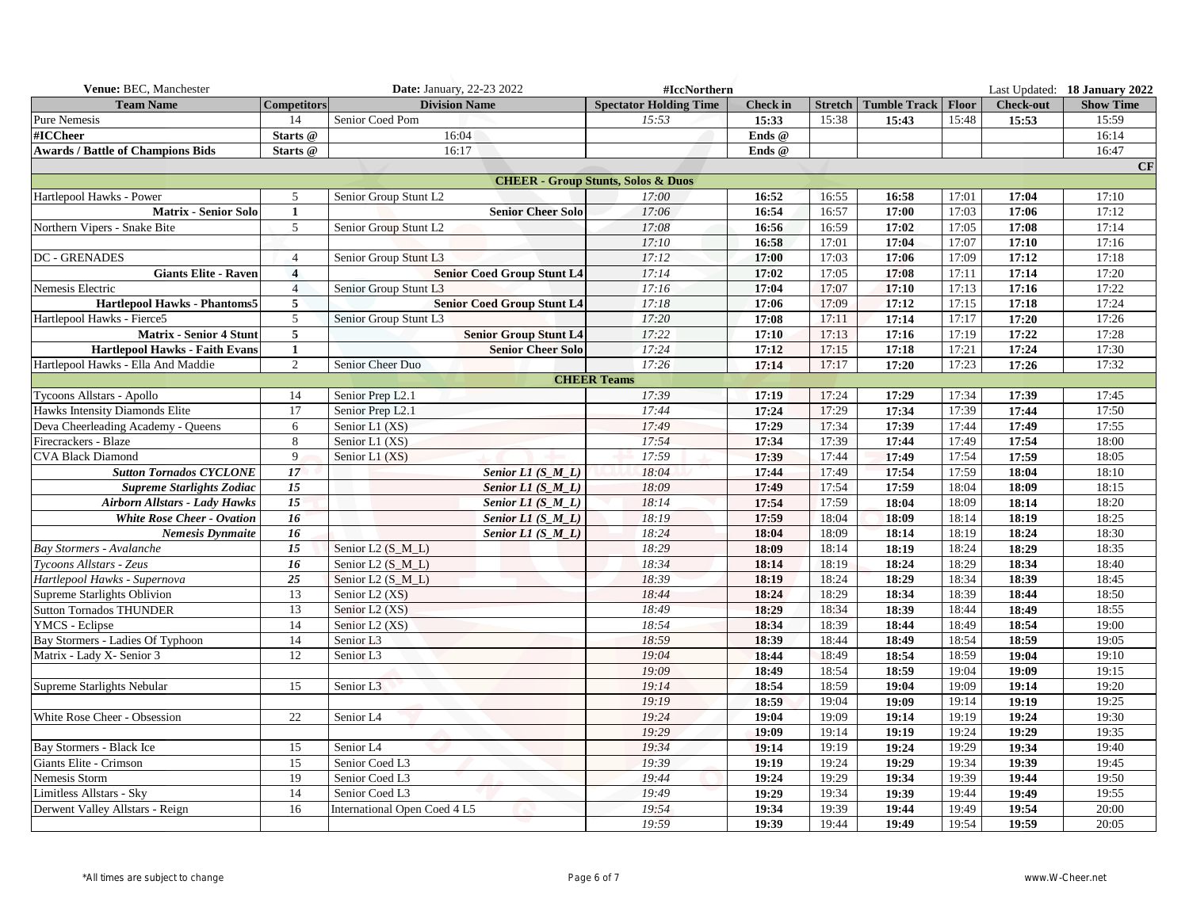| Venue: BEC, Manchester                   |                         | <b>Date: January, 22-23 2022</b><br>#IccNorthern |                                               |                 |                |                     |              |                  | Last Updated: 18 January 2022 |
|------------------------------------------|-------------------------|--------------------------------------------------|-----------------------------------------------|-----------------|----------------|---------------------|--------------|------------------|-------------------------------|
| <b>Team Name</b>                         | <b>Competitors</b>      | <b>Division Name</b>                             | <b>Spectator Holding Time</b>                 | <b>Check in</b> | <b>Stretch</b> | <b>Tumble Track</b> | <b>Floor</b> | <b>Check-out</b> | <b>Show Time</b>              |
| Pure Nemesis                             | 14                      | Senior Coed Pom                                  | 15:53                                         | 15:33           | 15:38          | 15:43               | 15:48        | 15:53            | 15:59                         |
| #ICCheer                                 | Starts @                | 16:04                                            |                                               | Ends @          |                |                     |              |                  | 16:14                         |
| <b>Awards / Battle of Champions Bids</b> | Starts @                | 16:17                                            |                                               | Ends @          |                |                     |              |                  | 16:47                         |
|                                          |                         |                                                  |                                               |                 |                |                     |              |                  | CF                            |
|                                          |                         |                                                  | <b>CHEER - Group Stunts, Solos &amp; Duos</b> |                 |                |                     |              |                  |                               |
| Hartlepool Hawks - Power                 | 5                       | Senior Group Stunt L2                            | 17:00                                         | 16:52           | 16:55          | 16:58               | 17:01        | 17:04            | 17:10                         |
| <b>Matrix - Senior Solo</b>              | 1                       | <b>Senior Cheer Solo</b>                         | 17:06                                         | 16:54           | 16:57          | 17:00               | 17:03        | 17:06            | 17:12                         |
| Northern Vipers - Snake Bite             | 5                       | Senior Group Stunt L2                            | 17:08                                         | 16:56           | 16:59          | 17:02               | 17:05        | 17:08            | 17:14                         |
|                                          |                         |                                                  | 17:10                                         | 16:58           | 17:01          | 17:04               | 17:07        | 17:10            | 17:16                         |
| <b>DC - GRENADES</b>                     | $\overline{4}$          | Senior Group Stunt L3                            | 17:12                                         | 17:00           | 17:03          | 17:06               | 17:09        | 17:12            | 17:18                         |
| <b>Giants Elite - Raven</b>              | $\overline{\mathbf{4}}$ | <b>Senior Coed Group Stunt L4</b>                | 17:14                                         | 17:02           | 17:05          | 17:08               | 17:11        | 17:14            | 17:20                         |
| Nemesis Electric                         | $\overline{4}$          | Senior Group Stunt L3                            | 17:16                                         | 17:04           | 17:07          | 17:10               | 17:13        | 17:16            | 17:22                         |
| <b>Hartlepool Hawks - Phantoms5</b>      | $5\overline{5}$         | <b>Senior Coed Group Stunt L4</b>                | 17:18                                         | 17:06           | 17:09          | 17:12               | 17:15        | 17:18            | 17:24                         |
| Hartlepool Hawks - Fierce5               | 5                       | Senior Group Stunt L3                            | 17:20                                         | 17:08           | 17:11          | 17:14               | 17:17        | 17:20            | 17:26                         |
| <b>Matrix - Senior 4 Stunt</b>           | 5                       | <b>Senior Group Stunt L4</b>                     | 17:22                                         | 17:10           | 17:13          | 17:16               | 17:19        | 17:22            | 17:28                         |
| <b>Hartlepool Hawks - Faith Evans</b>    | $\mathbf{1}$            | <b>Senior Cheer Solo</b>                         | 17:24                                         | 17:12           | 17:15          | 17:18               | 17:21        | 17:24            | 17:30                         |
| Hartlepool Hawks - Ella And Maddie       | $\mathfrak{2}$          | Senior Cheer Duo                                 | 17:26                                         | 17:14           | 17:17          | 17:20               | 17:23        | 17:26            | 17:32                         |
|                                          |                         |                                                  | <b>CHEER Teams</b>                            |                 |                |                     |              |                  |                               |
| Tycoons Allstars - Apollo                | 14                      | Senior Prep L2.1                                 | 17:39                                         | 17:19           | 17:24          | 17:29               | 17:34        | 17:39            | 17:45                         |
| Hawks Intensity Diamonds Elite           | 17                      | Senior Prep L2.1                                 | 17:44                                         | 17:24           | 17:29          | 17:34               | 17:39        | 17:44            | 17:50                         |
| Deva Cheerleading Academy - Queens       | 6                       | Senior L1 (XS)                                   | 17:49                                         | 17:29           | 17:34          | 17:39               | 17:44        | 17:49            | 17:55                         |
| Firecrackers - Blaze                     | 8                       | Senior L1 (XS)                                   | 17:54                                         | 17:34           | 17:39          | 17:44               | 17:49        | 17:54            | 18:00                         |
| <b>CVA Black Diamond</b>                 | 9                       | Senior L1 (XS)                                   | 17:59                                         | 17:39           | 17:44          | 17:49               | 17:54        | 17:59            | 18:05                         |
| <b>Sutton Tornados CYCLONE</b>           | 17                      | Senior $LI(S_M_L)$                               | 18:04                                         | 17:44           | 17:49          | 17:54               | 17:59        | 18:04            | 18:10                         |
| <b>Supreme Starlights Zodiac</b>         | 15                      | Senior L1 $(S \ M \ L)$                          | 18:09                                         | 17:49           | 17:54          | 17:59               | 18:04        | 18:09            | 18:15                         |
| <b>Airborn Allstars - Lady Hawks</b>     | 15                      | Senior $LI(S_M_L)$                               | 18:14                                         | 17:54           | 17:59          | 18:04               | 18:09        | 18:14            | 18:20                         |
| White Rose Cheer - Ovation               | 16                      | Senior L1 $(S_M_L)$                              | 18:19                                         | 17:59           | 18:04          | 18:09               | 18:14        | 18:19            | 18:25                         |
| <b>Nemesis Dynmaite</b>                  | 16                      | Senior $LI(S_M_L)$                               | 18:24                                         | 18:04           | 18:09          | 18:14               | 18:19        | 18:24            | 18:30                         |
| <b>Bay Stormers - Avalanche</b>          | 15                      | Senior L2 $(S \ M \ L)$                          | 18:29                                         | 18:09           | 18:14          | 18:19               | 18:24        | 18:29            | 18:35                         |
| Tycoons Allstars - Zeus                  | 16                      | Senior L2 (S_M_L)                                | 18:34                                         | 18:14           | 18:19          | 18:24               | 18:29        | 18:34            | 18:40                         |
| Hartlepool Hawks - Supernova             | 25                      | Senior L2 (S_M_L)                                | 18:39                                         | 18:19           | 18:24          | 18:29               | 18:34        | 18:39            | 18:45                         |
| Supreme Starlights Oblivion              | 13                      | Senior L2 (XS)                                   | 18:44                                         | 18:24           | 18:29          | 18:34               | 18:39        | 18:44            | 18:50                         |
| <b>Sutton Tornados THUNDER</b>           | 13                      | Senior L <sub>2</sub> (XS)                       | 18:49                                         | 18:29           | 18:34          | 18:39               | 18:44        | 18:49            | 18:55                         |
| YMCS - Eclipse                           | 14                      | Senior L2 (XS)                                   | 18:54                                         | 18:34           | 18:39          | 18:44               | 18:49        | 18:54            | 19:00                         |
| Bay Stormers - Ladies Of Typhoon         | 14                      | Senior L <sub>3</sub>                            | 18:59                                         | 18:39           | 18:44          | 18:49               | 18:54        | 18:59            | 19:05                         |
| Matrix - Lady X- Senior 3                | 12                      | Senior L3                                        | 19:04                                         | 18:44           | 18:49          | 18:54               | 18:59        | 19:04            | 19:10                         |
|                                          |                         |                                                  | 19:09                                         | 18:49           | 18:54          | 18:59               | 19:04        | 19:09            | 19:15                         |
| Supreme Starlights Nebular               | 15                      | Senior L <sub>3</sub>                            | 19:14                                         | 18:54           | 18:59          | 19:04               | 19:09        | 19:14            | 19:20                         |
|                                          |                         |                                                  | 19:19                                         | 18:59           | 19:04          | 19:09               | 19:14        | 19:19            | 19:25                         |
| White Rose Cheer - Obsession             | 22                      | Senior L4                                        | 19:24                                         | 19:04           | 19:09          | 19:14               | 19:19        | 19:24            | 19:30                         |
|                                          |                         |                                                  | 19:29                                         | 19:09           | 19:14          | 19:19               | 19:24        | 19:29            | 19:35                         |
| Bay Stormers - Black Ice                 | 15                      | Senior L4                                        | 19:34                                         | 19:14           | 19:19          | 19:24               | 19:29        | 19:34            | 19:40                         |
| Giants Elite - Crimson                   | 15                      | Senior Coed L3                                   | 19:39                                         | 19:19           | 19:24          | 19:29               | 19:34        | 19:39            | 19:45                         |
| Nemesis Storm                            | 19                      | Senior Coed L3                                   | 19:44                                         | 19:24           | 19:29          | 19:34               | 19:39        | 19:44            | 19:50                         |
| Limitless Allstars - Sky                 | 14                      | Senior Coed L3                                   | 19:49                                         | 19:29           | 19:34          | 19:39               | 19:44        | 19:49            | 19:55                         |
| Derwent Valley Allstars - Reign          | 16                      | International Open Coed 4 L5                     | 19:54                                         | 19:34           | 19:39          | 19:44               | 19:49        | 19:54            | 20:00                         |
|                                          |                         |                                                  | 19:59                                         | 19:39           | 19:44          | 19:49               | 19:54        | 19:59            | 20:05                         |